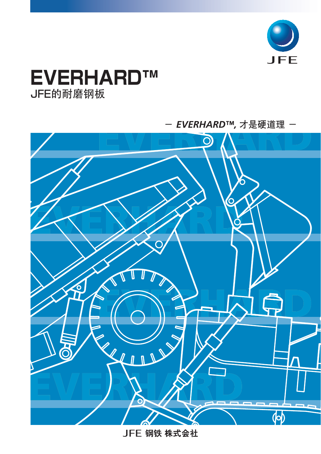

## **EVERHARDTM** JFE的耐磨钢板

- EVERHARD™, 才是硬道理 -



JFE 钢铁 株式会社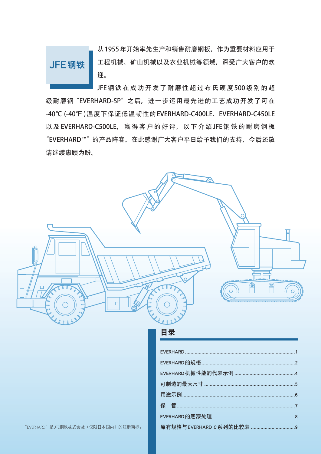

从 1955年开始率先生产和销售耐磨钢板,作为重要材料应用于 工程机械、矿山机械以及农业机械等领域,深受广大客户的欢 迎。

JFE钢铁在成功开发了耐磨性超过布氏硬度 500级别的超 级耐磨钢"EVERHARD-SP"之后,进一步运用最先进的工艺成功开发了可在 -40℃ (-40℉ )温度下保证低温韧性的 EVERHARD-C400LE、EVERHARD-C450LE 以及 EVERHARD-C500LE,赢得客户的好评。以下介绍 JFE钢铁的耐磨钢板 "EVERHARD™"的产品阵容。在此感谢广大客户平日给予我们的支持,今后还敬 请继续惠顾为盼。



## 目录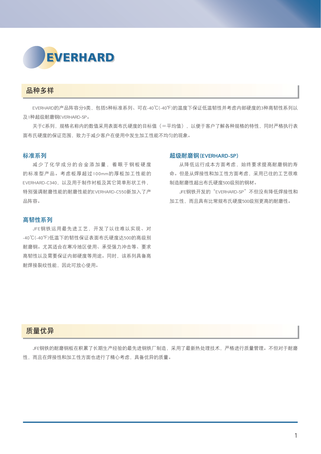

## 品种多样

EVERHARD的产品阵容分9类,包括5种标准系列、可在-40℃(-40℃)的温度下保证低温韧性并考虑内部硬度的3种高韧性系列以 及1种超级耐磨钢EVERHARD-SP。

关于C系列,规格名称内的数值采用表面布氏硬度的目标值(=平均值),以便于客户了解各种规格的特性,同时严格执行表 面布氏硬度的保证范围,致力于减少客户在使用中发生加工性能不均匀的现象。

#### 标准系列

减少了化学成分的合金添加量,着眼于钢板硬度 的标准型产品。考虑板厚超过100mm的厚板加工性能的 EVERHARD-C340. 以及用干制作衬板及其它简单形状工件, 特别强调耐磨性能的耐磨性能的EVERHARD-C550新加入了产 品阵容。

#### 超级耐磨钢(EVERHARD-SP)

从降低运行成本方面考虑, 始终要求提高耐磨钢的寿 命。但是从焊接性和加工性方面考虑,采用已往的工艺很难 制造耐磨性超出布氏硬度500级别的钢材。

JFE钢铁开发的"EVERHARD-SP"不但没有降低焊接性和 加工性,而且具有比常规布氏硬度500级别更高的耐磨性。

#### 高韧性系列

JFE钢铁运用最先进工艺, 开发了以往难以实现、对 -40℃(-40°F)低温下的韧性保证表面布氏硬度达500的高级别 耐磨钢。尤其话合在寒冷地区使用、承受强力冲击等、要求 高韧性以及需要保证内部硬度等用途。同时,该系列具备高 耐焊接裂纹性能 因此可放心使用。

## 质量优异

JFE钢铁的耐磨钢板在积累了长期生产经验的最先进钢铁厂制造,采用了最新热处理技术,严格进行质量管理。不但对于耐磨 性,而且在焊接性和加工性方面也进行了精心考虑,具备优异的质量。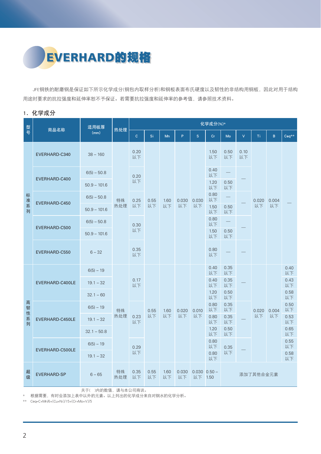EVERHARD**的规格** 

JFE钢铁的耐磨钢是保证如下所示化学成分(钢包内取样分析)和钢板表面布氏硬度以及韧性的非结构用钢板,因此对用于结构 用途时要求的抗拉强度和延伸率恕不予保证。若需要抗拉强度和延伸率的参考值,请参照技术资料。

#### 1. 化学成分

| 型           |                    | 适用板厚           |           | 化学成分(%)*                             |            |            |             |                         |                          |            |              |       |       |            |  |
|-------------|--------------------|----------------|-----------|--------------------------------------|------------|------------|-------------|-------------------------|--------------------------|------------|--------------|-------|-------|------------|--|
| 휵           | 商品名称               | (mm)           | 热处理       | $\mathsf{C}$                         | Si         | Mn         | P           | $\overline{\mathsf{S}}$ | Cr                       | Mo         | $\mathsf{V}$ | Ti    | B     | Ceq**      |  |
|             | EVERHARD-C340      | $38 - 160$     |           | 0.20<br>以下                           |            |            |             |                         | 1.50<br>以下               | 0.50<br>以下 | 0.10<br>以下   |       |       |            |  |
|             |                    | $6(5) - 50.8$  |           | 0.20                                 |            |            |             |                         | 0.40<br>以下               |            |              |       |       |            |  |
|             | EVERHARD-C400      | $50.9 - 101.6$ |           | 以下                                   |            |            |             |                         | 1.20<br>以下               | 0.50<br>以下 |              |       |       |            |  |
| 标<br>准      |                    | $6(5) - 50.8$  | 特殊        | 0.25                                 | 0.55       | 1.60       | 0.030       | 0.030                   | 0.80<br>以下               |            |              | 0.020 | 0.004 |            |  |
| 系<br>列      | EVERHARD-C450      | $50.9 - 101.6$ | 热处理       | 以下<br>以下<br>0.30<br>以下<br>0.35<br>以下 | 以下         | 以下         | 以下          | 1.50<br>以下              | 0.50<br>以下               |            | 以下           | 以下    |       |            |  |
|             | EVERHARD-C500      | $6(5) - 50.8$  |           |                                      |            |            |             |                         | 0.80<br>以下               |            |              |       |       |            |  |
|             |                    | $50.9 - 101.6$ |           |                                      |            |            |             |                         | 1.50<br>以下               | 0.50<br>以下 |              |       |       |            |  |
|             | EVERHARD-C550      | $6 - 32$       |           |                                      |            |            |             | 0.80<br>以下              |                          |            |              |       |       |            |  |
|             | EVERHARD-C400LE    | $6(5) - 19$    |           | 0.17<br>以下                           |            |            |             |                         | 0.40<br>以下               | 0.35<br>以下 |              |       |       | 0.40<br>以下 |  |
|             |                    | $19.1 - 32$    |           |                                      |            |            |             |                         | 0.40<br>以下               | 0.35<br>以下 |              |       |       | 0.43<br>以下 |  |
|             |                    | $32.1 - 60$    |           |                                      |            |            |             |                         | 1.20<br>以下               | 0.50<br>以下 |              |       |       | 0.58<br>以下 |  |
| 高<br>韧      |                    | $6(5) - 19$    | 特殊        |                                      | 0.55       | 1.60       | 0.020       | 0.010                   | 0.80<br>以下               | 0.35<br>以下 |              | 0.020 | 0.004 | 0.50<br>以下 |  |
| 性<br>系<br>列 | EVERHARD-C450LE    | $19.1 - 32$    | 热处理       | 0.23<br>以下                           | 以下         | 以下         | 以下          | 以下                      | 0.80<br>以下               | 0.35<br>以下 |              | 以下    | 以下    | 0.53<br>以下 |  |
|             |                    | $32.1 - 50.8$  |           |                                      |            |            |             |                         | 1.20<br>以下               | 0.50<br>以下 |              |       |       | 0.65<br>以下 |  |
|             |                    | $6(5) - 19$    |           | 0.29                                 |            |            |             |                         | 0.80<br>以下               | 0.35       |              |       |       | 0.55<br>以下 |  |
|             | EVERHARD-C500LE    | $19.1 - 32$    |           | 以下                                   |            |            |             |                         | 0.80<br>以下               | 以下         |              |       |       | 0.58<br>以下 |  |
| 超级          | <b>EVERHARD-SP</b> | $6 - 65$       | 特殊<br>热处理 | 0.35<br>以下                           | 0.55<br>以下 | 1.60<br>以下 | 0.030<br>以下 | 以下                      | $0.030$ $0.50 -$<br>1.50 | 添加了其他合金元素  |              |       |       |            |  |

关于()内的数值,请与本公司商谈。

\* 根据需要, 有时会添加上表中以外的元素。以上列出的化学成分来自对钢水的化学分析。

 $**$  Ceq=C+Mn/6+(Cu+Ni)/15+(Cr+Mo+V)/5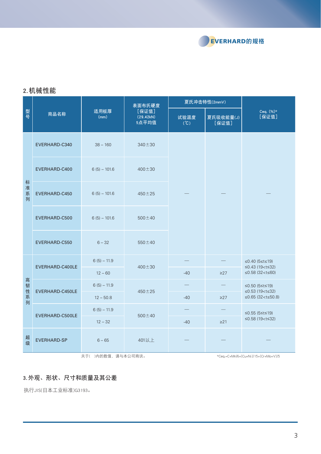

### 2.机械性能

|                  |                    |                | 表面布氏硬度                      | 夏氏冲击特性(2mmV)           |                    |                                                              |  |  |
|------------------|--------------------|----------------|-----------------------------|------------------------|--------------------|--------------------------------------------------------------|--|--|
| 型号               | 商品名称               | 适用板厚<br>(mm)   | [保证值]<br>(29.42kN)<br>5点平均值 | 试验温度<br>$({\degree}C)$ | 夏氏吸收能量(J)<br>[保证值] | Ceq. $(%)*$<br>[保证值]                                         |  |  |
|                  | EVERHARD-C340      | $38 - 160$     | 340±30                      |                        |                    |                                                              |  |  |
|                  | EVERHARD-C400      | $6(5) - 101.6$ | $400 + 30$                  |                        |                    |                                                              |  |  |
| 标<br>准<br>系<br>列 | EVERHARD-C450      | $6(5) - 101.6$ | 450±25                      |                        |                    |                                                              |  |  |
|                  | EVERHARD-C500      | $6(5) - 101.6$ | $500 + 40$                  |                        |                    |                                                              |  |  |
|                  | EVERHARD-C550      | $6 - 32$       | $550 \pm 40$                |                        |                    |                                                              |  |  |
|                  | EVERHARD-C400LE    | $6(5) - 11.9$  | $400 + 30$                  |                        |                    | $≤0.40$ (5≤t≤19)<br>$\leq$ 0.43 (19 <t<math>\leq32)</t<math> |  |  |
|                  |                    | $12 - 60$      |                             | $-40$                  | $\geq$ 27          | $≤0.58$ (32 < t ≤ 60)                                        |  |  |
| 高<br>韧<br>性      | EVERHARD-C450LE    | $6(5) - 11.9$  | $450 \pm 25$                |                        |                    | $≤0.50$ (5≤t≤19)<br>$≤0.53(19 < t ≤ 32)$                     |  |  |
| 系<br>列           |                    | $12 - 50.8$    |                             | $-40$                  | $\geq$ 27          | $≤0.65$ (32 <t td="" ≤50.8)<=""></t>                         |  |  |
|                  |                    | $6(5) - 11.9$  |                             |                        |                    | $≤0.55$ (5 ≤t ≤ 19)                                          |  |  |
|                  | EVERHARD-C500LE    | $12 - 32$      | $500 + 40$                  | $-40$                  | $\geq$ 21          | $≤0.58(19 < t ≤ 32)$                                         |  |  |
| 超<br>级           | <b>EVERHARD-SP</b> | $6 - 65$       | 401以上                       |                        |                    |                                                              |  |  |

! ! ! ߔᅢ)ā\*وืLjഋᅳӊާ๖ඨຮă! ! ! ! +Dfr/>D,No07,)Dv,Oj\*026,)Ds,Np,W\*06

## 3.外观、形状、尺寸和质量及其公差

执行JIS(日本工业标准)G3193。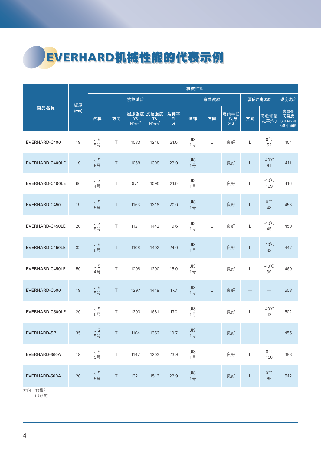# EVERHARD机械性能的代表示例

|                 |      | 机械性能                 |        |                                        |                                        |                |                      |                                                                                                               |                           |             |                             |                                  |  |  |
|-----------------|------|----------------------|--------|----------------------------------------|----------------------------------------|----------------|----------------------|---------------------------------------------------------------------------------------------------------------|---------------------------|-------------|-----------------------------|----------------------------------|--|--|
|                 | 板厚   |                      |        | 抗拉试验                                   |                                        |                |                      | 弯曲试验                                                                                                          |                           |             | 夏氏冲击试验                      | 硬度试验                             |  |  |
| 商品名称            | (mm) | 试样                   | 方向     | 屈服强度<br><b>YS</b><br>N/mm <sup>2</sup> | 抗拉强度<br><b>TS</b><br>N/mm <sup>2</sup> | 延伸率<br>E1<br>% | 试样                   | 方向                                                                                                            | 弯曲半径<br>=板厚<br>$\times$ 3 | 方向          | 吸收能量<br>vE平均J               | 表面布<br>氏硬度<br>(29.42kN)<br>5点平均值 |  |  |
| EVERHARD-C400   | 19   | JIS<br>5号            | $\top$ | 1083                                   | 1246                                   | 21.0           | JIS<br>1号            | L                                                                                                             | 良好                        | L           | $0^{\circ}$ C<br>52         | 404                              |  |  |
| EVERHARD-C400LE | 19   | JIS<br>5号            | $\top$ | 1058                                   | 1308                                   | 23.0           | <b>JIS</b><br>1号     | L                                                                                                             | 良好                        | L           | $-40^{\circ}$ C<br>61       | 411                              |  |  |
| EVERHARD-C400LE | 60   | JIS<br>4号            | $\top$ | 971                                    | 1096                                   | 21.0           | JIS<br>1号            | L                                                                                                             | 良好                        | L           | $-40^{\circ}$ C<br>189      | 416                              |  |  |
| EVERHARD-C450   | 19   | JIS<br>5号            | $\top$ | 1163                                   | 1316                                   | 20.0           | <b>JIS</b><br>1号     | L                                                                                                             | 良好                        | $\mathsf L$ | $O^{\circ}C$<br>48          | 453                              |  |  |
| EVERHARD-C450LE | 20   | JIS<br>5号            | $\top$ | 1121                                   | 1442                                   | 19.6           | JIS<br>1号            | L                                                                                                             | 良好                        | L           | $-40^{\circ}$ C<br>45       | 450                              |  |  |
| EVERHARD-C450LE | 32   | <b>JIS</b><br>5号     | $\top$ | 1106                                   | 1402                                   | 24.0           | JIS<br>1号            | L                                                                                                             | 良好                        | L           | $-40^{\circ}$ C<br>33       | 447                              |  |  |
| EVERHARD-C450LE | 50   | JIS<br>4号            | $\top$ | 1008                                   | 1290                                   | 15.0           | <b>JIS</b><br>1号     | L                                                                                                             | 良好                        | L           | $-40^{\circ}$ C<br>39       | 469                              |  |  |
| EVERHARD-C500   | 19   | JIS<br>5号            | $\top$ | 1297                                   | 1449                                   | 17.7           | JIS<br>1号            | L                                                                                                             | 良好                        |             |                             | 508                              |  |  |
| EVERHARD-C500LE | 20   | $JIS$<br>5号          | T      | 1203                                   | 1681                                   | 17.0           | JIS<br>1묵            | L                                                                                                             | 良好                        | L           | $-40^{\circ}$ C<br>42       | 502                              |  |  |
| EVERHARD-SP     | 35   | JIS<br>5号            | $\top$ | 1104                                   | 1352                                   | 10.7           | $\mathsf{JIS}$<br>1号 | $\mathsf{L}% _{0}\left( \mathcal{A}_{0}\right) ^{\ast }=\mathsf{L}_{0}\left( \mathcal{A}_{0}\right) ^{\ast }$ | 良好                        |             |                             | 455                              |  |  |
| EVERHARD-360A   | 19   | $\mathsf{JIS}$<br>5号 | $\top$ | 1147                                   | 1203                                   | 23.9           | $\mathsf{JIS}$<br>1号 | L                                                                                                             | 良好                        | L           | $0^{\circ}\!{\rm C}$<br>156 | 388                              |  |  |
| EVERHARD-500A   | 20   | JIS<br>5号            | $\top$ | 1321                                   | 1516                                   | 22.9           | $\mathsf{JIS}$<br>1号 | $\mathsf L$                                                                                                   | 良好                        | $\mathsf L$ | $0^{\circ}$ C<br>65         | 542                              |  |  |

方向: T(横向)

L(纵向)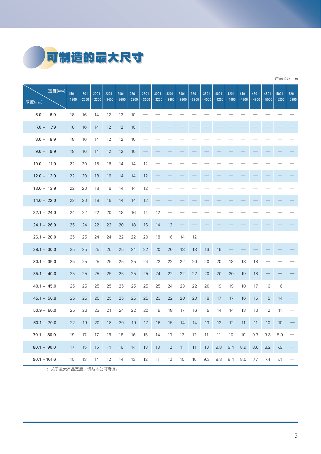

|                  |                 |                 |                 |                 |                 |                 |                 |                 |                 |                 |                 |                 |                 |                 |                 |                 |                 |                 | 产品长度: m         |
|------------------|-----------------|-----------------|-----------------|-----------------|-----------------|-----------------|-----------------|-----------------|-----------------|-----------------|-----------------|-----------------|-----------------|-----------------|-----------------|-----------------|-----------------|-----------------|-----------------|
| 宽度(mm)<br>厚度(mm) | 1501<br>$-1800$ | 1801<br>$-2000$ | 2001<br>$-2200$ | 2201<br>$-2400$ | 2401<br>$-2600$ | 2601<br>$-2800$ | 2801<br>$-3000$ | 3001<br>$-3200$ | 3201<br>$-3400$ | 3401<br>$-3600$ | 3601<br>$-3800$ | 3801<br>$-4000$ | 4001<br>$-4200$ | 4201<br>$-4400$ | 4401<br>$-4600$ | 4601<br>$-4800$ | 4801<br>$-5000$ | 5001<br>$-5200$ | 5201<br>$-5300$ |
| $6.0 -$<br>6.9   | 18              | 16              | 14              | 12              | 12              | 10              |                 |                 |                 |                 |                 |                 |                 |                 |                 |                 |                 |                 |                 |
| $7.0 -$<br>7.9   | 18              | 16              | 14              | 12              | 12              | 10              |                 |                 |                 |                 |                 |                 |                 |                 |                 |                 |                 |                 |                 |
| 8.9<br>$8.0 -$   | 18              | 16              | 14              | 12              | 12              | 10              |                 |                 |                 |                 |                 |                 |                 |                 |                 |                 |                 |                 |                 |
| $9.0 - 9.9$      | 18              | 16              | 14              | 12              | 12              | 10              |                 |                 |                 |                 |                 |                 |                 |                 |                 |                 |                 |                 |                 |
| $10.0 - 11.9$    | 22              | 20              | 18              | 16              | 14              | 14              | 12              |                 |                 |                 |                 |                 |                 |                 |                 |                 |                 |                 |                 |
| $12.0 - 12.9$    | 22              | 20              | 18              | 16              | 14              | 14              | 12              |                 |                 |                 |                 |                 |                 |                 |                 |                 |                 |                 |                 |
| $13.0 - 13.9$    | 22              | 20              | 18              | 16              | 14              | 14              | 12              |                 |                 |                 |                 |                 |                 |                 |                 |                 |                 |                 |                 |
| $14.0 - 22.0$    | 22              | 20              | 18              | 16              | 14              | 14              | 12              |                 |                 |                 |                 |                 |                 |                 |                 |                 |                 |                 |                 |
| $22.1 - 24.0$    | 24              | 22              | 22              | 20              | 18              | 16              | 14              | 12              |                 |                 |                 |                 |                 |                 |                 |                 |                 |                 |                 |
| $24.1 - 26.0$    | 25              | 24              | 22              | 22              | 20              | 18              | 16              | 14              | 12              |                 |                 |                 |                 |                 |                 |                 |                 |                 |                 |
| $26.1 - 28.0$    | 25              | 25              | 24              | 24              | 22              | 22              | 20              | 18              | 16              | 14              | 12              |                 |                 |                 |                 |                 |                 |                 |                 |
| $28.1 - 30.0$    | 25              | 25              | 25              | 25              | 25              | 24              | 22              | 20              | 20              | 18              | 18              | 16              | 16              |                 |                 |                 |                 |                 |                 |
| $30.1 - 35.0$    | 25              | 25              | 25              | 25              | 25              | 25              | 24              | 22              | 22              | 22              | 20              | 20              | 20              | 18              | 18              | 18              |                 |                 |                 |
| $35.1 - 40.0$    | 25              | 25              | 25              | 25              | 25              | 25              | 25              | 24              | 22              | 22              | 22              | 20              | 20              | 20              | 19              | 18              |                 |                 |                 |
| $40.1 - 45.0$    | 25              | 25              | 25              | 25              | 25              | 25              | 25              | 25              | 24              | 23              | 22              | 20              | 19              | 19              | 18              | 17              | 16              | 16              |                 |
| $45.1 - 50.8$    | 25              | 25              | 25              | 25              | 25              | 25              | 25              | 23              | 22              | 20              | 20              | 18              | 17              | 17              | 16              | 15              | 15              | 14              |                 |
| $50.9 - 60.0$    | 25              | 23              | 23              | 21              | 24              | 22              | 20              | 19              | 18              | 17              | 16              | 15              | 14              | 14              | 13              | 13              | 12              | 11              |                 |
| $60.1 - 70.0$    | 22              | 19              | 20              | 18              | 20              | 19              | 17              | 16              | 15              | 14              | 14              | 13              | 12              | 12              | 11              | 11              | 10              | 10              |                 |
| $70.1 - 80.0$    | $19$            | 17              | $17\,$          | $16\,$          | $18\,$          | $16\,$          | 15              | 14              | $13\,$          | $13$            | 12              | 11              | 11              | $10$            | $10\,$          | 9.7             | $9.3\,$         | 8.9             |                 |
| $80.1 - 90.0$    | 17              | 15              | 15              | 14              | 16              | $14$            | 13              | 13              | 12              | 11              | 11              | $10$            | $9.8\,$         | 9.4             | $8.9\,$         | $8.6\,$         | $8.2\,$         | 7.9             |                 |
| $90.1 - 101.6$   | 15              | $13$            | 14              | 12              | 14              | $13$            | 12              | 11              | $10$            | 10              | $10$            | 9.3             | $8.8\,$         | 8.4             | $8.0\,$         | 7.7             | 7.4             | 7.1             |                 |

- .<br>一: 关于最大产品宽度, 请与本公司商谈。

5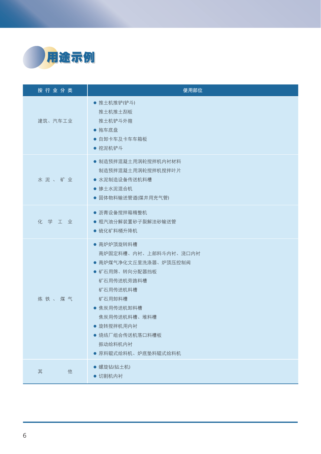

| 按行业分类   | 使用部位                                                                                                                                                                                                                 |
|---------|----------------------------------------------------------------------------------------------------------------------------------------------------------------------------------------------------------------------|
| 建筑、汽车工业 | ● 推土机推铲(铲斗)<br>推土机推土刮板<br>推土机铲斗外箍<br>● 拖车底盘<br>● 自卸卡车及卡车车箱板<br>● 挖泥机铲斗                                                                                                                                               |
| 水泥、矿业   | ● 制造预拌混凝土用涡轮搅拌机内衬材料<br>制造预拌混凝土用涡轮搅拌机搅拌叶片<br>● 水泥制造设备传送机料槽<br>● 掺土水泥混合机<br>● 固体物料输送管道(煤井用充气管)                                                                                                                         |
| 化学工业    | ● 沥青设备搅拌箱精整机<br>● 粗汽油分解装置砂子裂解法砂输送管<br>● 硫化矿料桶升降机                                                                                                                                                                     |
| 炼铁、煤气   | ● 高炉炉顶旋转料槽<br>高炉固定料槽、内衬、上部料斗内衬、浇口内衬<br>● 高炉煤气净化文丘里洗涤器、炉顶压控制阀<br>● 矿石用筛、转向分配器挡板<br>矿石用传送机旁路料槽<br>矿石用传送机料槽<br>矿石用卸料槽<br>● 焦炭用传送机卸料槽<br>焦炭用传送机料槽、堆料槽<br>● 旋转搅拌机用内衬<br>● 烧结厂组合传送机落口料槽板<br>振动给料机内衬<br>● 原料辊式给料机、炉底垫料辊式给料机 |
| 其<br>他  | ● 螺旋钻(钻土机)<br>• 切割机内衬                                                                                                                                                                                                |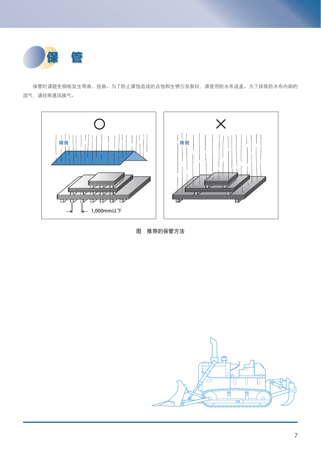

保管时请避免钢板发生弯曲、扭曲。为了防止腐蚀造成的点蚀和生锈引发裂纹,请使用防水布遮盖。为了排除防水布内部的 湿气, 请经常通风换气。



图 推荐的保管方法

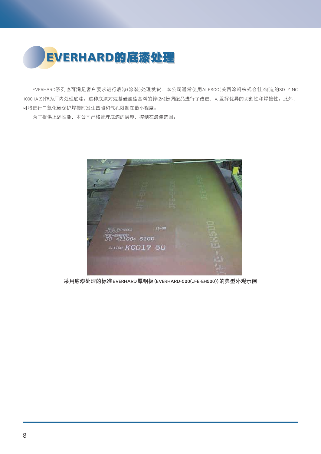

EVERHARD系列也可满足客户要求进行底漆(涂装)处理发货。本公司通常使用ALESCO(关西涂料株式会社)制造的SD ZINC 1000HA(S)作为厂内处理底漆。这种底漆对烷基硅酸酯基料的锌(Zn)粉调配品进行了改进,可发挥优异的切割性和焊接性。此外, 可将进行二氧化碳保护焊接时发生凹陷和气孔限制在最小程度。

为了提供上述性能,本公司严格管理底漆的层厚,控制在最佳范围。



采用底漆处理的标准EVERHARD厚钢板(EVERHARD-500(JFE-EH500))的典型外观示例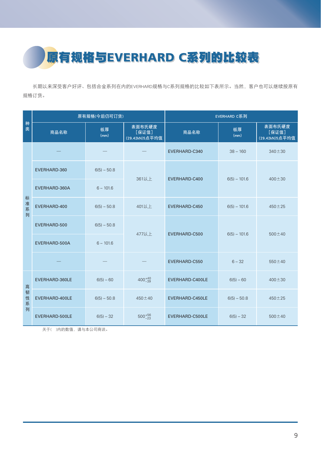原有规格与EVERHARD C系列的比较表

长期以来深受客户好评、包括合金系列在内的EVERHARD规格与C系列规格的比较如下表所示。当然,客户也可以继续按原有 规格订货。

|              |                | 原有规格(今后仍可订货)  |                                   | EVERHARD C系列    |                |                                   |  |  |  |  |
|--------------|----------------|---------------|-----------------------------------|-----------------|----------------|-----------------------------------|--|--|--|--|
| 种<br>类       | 商品名称           | 板厚<br>(mm)    | 表面布氏硬度<br>[保证值]<br>(29.42kN)5点平均值 | 商品名称            | 板厚<br>(mm)     | 表面布氏硬度<br>[保证值]<br>(29.42kN)5点平均值 |  |  |  |  |
|              |                |               |                                   | EVERHARD-C340   | $38 - 160$     | $340 \pm 30$                      |  |  |  |  |
|              | EVERHARD-360   | $6(5) - 50.8$ |                                   | EVERHARD-C400   | $6(5) - 101.6$ | $400 \pm 30$                      |  |  |  |  |
|              | EVERHARD-360A  | $6 - 101.6$   | 361以上                             |                 |                |                                   |  |  |  |  |
| 标<br>准系<br>列 | EVERHARD-400   | $6(5) - 50.8$ | 401以上                             | EVERHARD-C450   | $6(5) - 101.6$ | 450±25                            |  |  |  |  |
|              | EVERHARD-500   | $6(5) - 50.8$ | 477以上                             | EVERHARD-C500   | $6(5) - 101.6$ | $500 \pm 40$                      |  |  |  |  |
|              | EVERHARD-500A  | $6 - 101.6$   |                                   |                 |                |                                   |  |  |  |  |
|              |                |               |                                   | EVERHARD-C550   | $6 - 32$       | $550 \pm 40$                      |  |  |  |  |
| 高            | EVERHARD-360LE | $6(5) - 60$   | $400^{+40}_{-39}$                 | EVERHARD-C400LE | $6(5) - 60$    | $400 \pm 30$                      |  |  |  |  |
| 韧<br>性<br>系  | EVERHARD-400LE | $6(5) - 50.8$ | 450±40                            | EVERHARD-C450LE | $6(5) - 50.8$  | 450±25                            |  |  |  |  |
| 列            | EVERHARD-500LE | $6(5) - 32$   | $500^{+56}_{-23}$                 | EVERHARD-C500LE | $6(5) - 32$    | $500 \pm 40$                      |  |  |  |  |

关于()内的数值,请与本公司商谈。